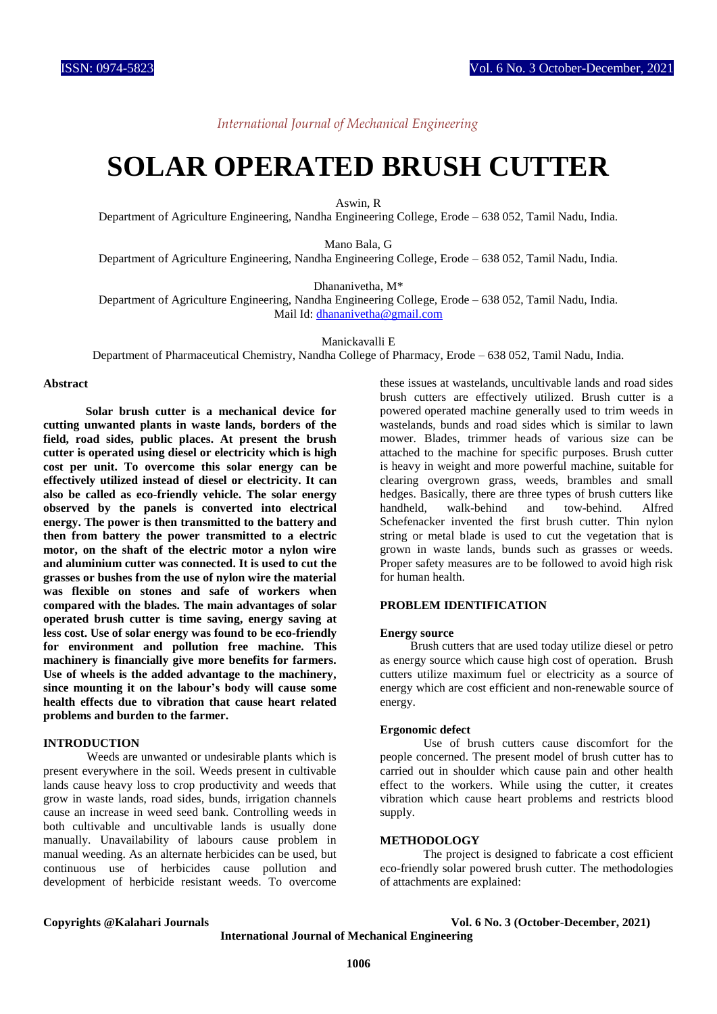*International Journal of Mechanical Engineering*

## **SOLAR OPERATED BRUSH CUTTER**

Aswin, R

Department of Agriculture Engineering, Nandha Engineering College, Erode – 638 052, Tamil Nadu, India.

Mano Bala, G

Department of Agriculture Engineering, Nandha Engineering College, Erode – 638 052, Tamil Nadu, India.

Dhananivetha, M\*

Department of Agriculture Engineering, Nandha Engineering College, Erode – 638 052, Tamil Nadu, India. Mail Id[: dhananivetha@gmail.com](mailto:dhananivetha@gmail.com)

Manickavalli E

Department of Pharmaceutical Chemistry, Nandha College of Pharmacy, Erode – 638 052, Tamil Nadu, India.

#### **Abstract**

 **Solar brush cutter is a mechanical device for cutting unwanted plants in waste lands, borders of the field, road sides, public places. At present the brush cutter is operated using diesel or electricity which is high cost per unit. To overcome this solar energy can be effectively utilized instead of diesel or electricity. It can also be called as eco-friendly vehicle. The solar energy observed by the panels is converted into electrical energy. The power is then transmitted to the battery and then from battery the power transmitted to a electric motor, on the shaft of the electric motor a nylon wire and aluminium cutter was connected. It is used to cut the grasses or bushes from the use of nylon wire the material was flexible on stones and safe of workers when compared with the blades. The main advantages of solar operated brush cutter is time saving, energy saving at less cost. Use of solar energy was found to be eco-friendly for environment and pollution free machine. This machinery is financially give more benefits for farmers. Use of wheels is the added advantage to the machinery, since mounting it on the labour's body will cause some health effects due to vibration that cause heart related problems and burden to the farmer.** 

#### **INTRODUCTION**

Weeds are unwanted or undesirable plants which is present everywhere in the soil. Weeds present in cultivable lands cause heavy loss to crop productivity and weeds that grow in waste lands, road sides, bunds, irrigation channels cause an increase in weed seed bank. Controlling weeds in both cultivable and uncultivable lands is usually done manually. Unavailability of labours cause problem in manual weeding. As an alternate herbicides can be used, but continuous use of herbicides cause pollution and development of herbicide resistant weeds. To overcome

these issues at wastelands, uncultivable lands and road sides brush cutters are effectively utilized. Brush cutter is a powered operated machine generally used to trim weeds in wastelands, bunds and road sides which is similar to lawn mower. Blades, trimmer heads of various size can be attached to the machine for specific purposes. Brush cutter is heavy in weight and more powerful machine, suitable for clearing overgrown grass, weeds, brambles and small hedges. Basically, there are three types of brush cutters like handheld, walk-behind and tow-behind. Alfred Schefenacker invented the first brush cutter. Thin nylon string or metal blade is used to cut the vegetation that is grown in waste lands, bunds such as grasses or weeds. Proper safety measures are to be followed to avoid high risk for human health.

#### **PROBLEM IDENTIFICATION**

#### **Energy source**

 Brush cutters that are used today utilize diesel or petro as energy source which cause high cost of operation. Brush cutters utilize maximum fuel or electricity as a source of energy which are cost efficient and non-renewable source of energy.

#### **Ergonomic defect**

Use of brush cutters cause discomfort for the people concerned. The present model of brush cutter has to carried out in shoulder which cause pain and other health effect to the workers. While using the cutter, it creates vibration which cause heart problems and restricts blood supply.

#### **METHODOLOGY**

The project is designed to fabricate a cost efficient eco-friendly solar powered brush cutter. The methodologies of attachments are explained:

#### **Copyrights @Kalahari Journals Vol. 6 No. 3 (October-December, 2021)**

**International Journal of Mechanical Engineering**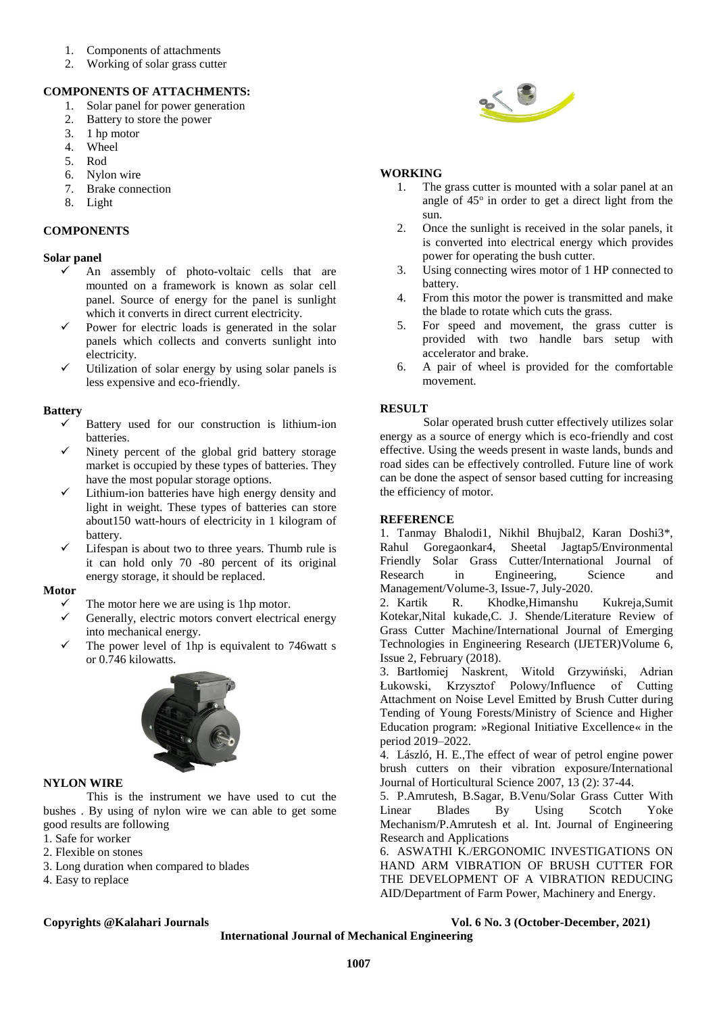- 1. Components of attachments
- 2. Working of solar grass cutter

### **COMPONENTS OF ATTACHMENTS:**

- 1. Solar panel for power generation
- 2. Battery to store the power
- 3. 1 hp motor
- 4. Wheel
- 5. Rod
- 6. Nylon wire
- 7. Brake connection
- 8. Light

### **COMPONENTS**

#### **Solar panel**

- An assembly of photo-voltaic cells that are mounted on a framework is known as solar cell panel. Source of energy for the panel is sunlight which it converts in direct current electricity.
- Power for electric loads is generated in the solar panels which collects and converts sunlight into electricity.
- Utilization of solar energy by using solar panels is less expensive and eco-friendly.

#### **Battery**

- Battery used for our construction is lithium-ion batteries.
- Ninety percent of the global grid battery storage market is occupied by these types of batteries. They have the most popular storage options.
- Lithium-ion batteries have high energy density and light in weight. These types of batteries can store about150 watt-hours of electricity in 1 kilogram of battery.
- Lifespan is about two to three years. Thumb rule is it can hold only 70 -80 percent of its original energy storage, it should be replaced.

#### **Motor**

- The motor here we are using is 1hp motor.
- Generally, electric motors convert electrical energy into mechanical energy.
- The power level of 1hp is equivalent to 746watt s or 0.746 kilowatts.



#### **NYLON WIRE**

This is the instrument we have used to cut the bushes . By using of nylon wire we can able to get some good results are following

- 1. Safe for worker
- 2. Flexible on stones
- 3. Long duration when compared to blades
- 4. Easy to replace

# 

#### **WORKING**

- 1. The grass cutter is mounted with a solar panel at an angle of 45° in order to get a direct light from the sun.
- 2. Once the sunlight is received in the solar panels, it is converted into electrical energy which provides power for operating the bush cutter.
- 3. Using connecting wires motor of 1 HP connected to battery.
- 4. From this motor the power is transmitted and make the blade to rotate which cuts the grass.
- 5. For speed and movement, the grass cutter is provided with two handle bars setup with accelerator and brake.
- 6. A pair of wheel is provided for the comfortable movement.

#### **RESULT**

Solar operated brush cutter effectively utilizes solar energy as a source of energy which is eco-friendly and cost effective. Using the weeds present in waste lands, bunds and road sides can be effectively controlled. Future line of work can be done the aspect of sensor based cutting for increasing the efficiency of motor.

#### **REFERENCE**

1. Tanmay Bhalodi1, Nikhil Bhujbal2, Karan Doshi3\*, Rahul Goregaonkar4, Sheetal Jagtap5/Environmental Friendly Solar Grass Cutter/International Journal of Research in Engineering, Science and Management/Volume-3, Issue-7, July-2020.

2. Kartik R. Khodke,Himanshu Kukreja,Sumit Kotekar,Nital kukade,C. J. Shende/Literature Review of Grass Cutter Machine/International Journal of Emerging Technologies in Engineering Research (IJETER)Volume 6, Issue 2, February (2018).

3. Bartłomiej Naskrent, Witold Grzywiński, Adrian Łukowski, Krzysztof Polowy/Influence of Cutting Attachment on Noise Level Emitted by Brush Cutter during Tending of Young Forests/Ministry of Science and Higher Education program: »Regional Initiative Excellence« in the period 2019–2022.

4. László, H. E.,The effect of wear of petrol engine power brush cutters on their vibration exposure/International Journal of Horticultural Science 2007, 13 (2): 37-44.

5. P.Amrutesh, B.Sagar, B.Venu/Solar Grass Cutter With Linear Blades By Using Scotch Yoke Mechanism/P.Amrutesh et al. Int. Journal of Engineering Research and Applications

6. ASWATHI K./ERGONOMIC INVESTIGATIONS ON HAND ARM VIBRATION OF BRUSH CUTTER FOR THE DEVELOPMENT OF A VIBRATION REDUCING AID/Department of Farm Power, Machinery and Energy.

#### **Copyrights @Kalahari Journals Vol. 6 No. 3 (October-December, 2021)**

**International Journal of Mechanical Engineering**